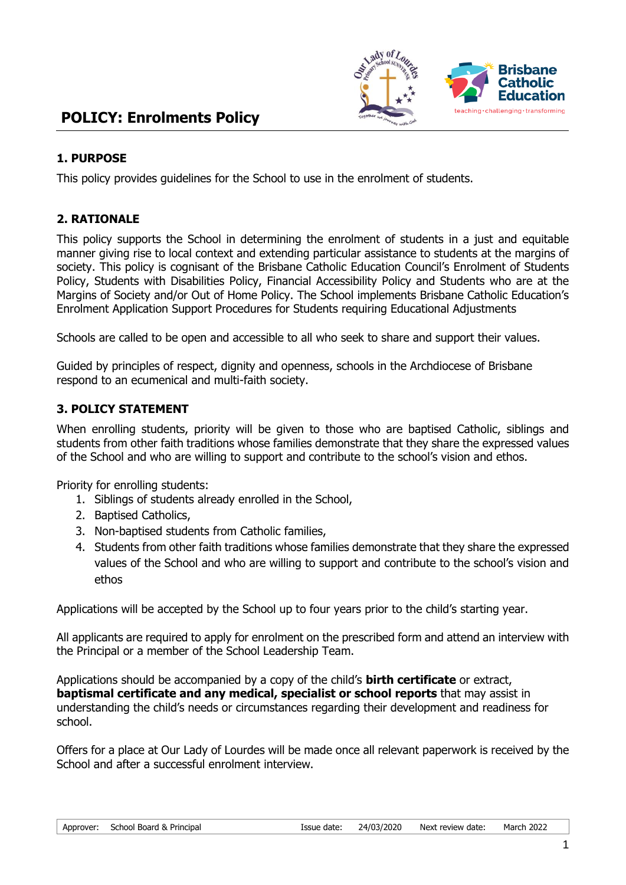

## **POLICY: Enrolments Policy**

## **1. PURPOSE**

This policy provides guidelines for the School to use in the enrolment of students.

## **2. RATIONALE**

This policy supports the School in determining the enrolment of students in a just and equitable manner giving rise to local context and extending particular assistance to students at the margins of society. This policy is cognisant of the Brisbane Catholic Education Council's Enrolment of Students Policy, Students with Disabilities Policy, Financial Accessibility Policy and Students who are at the Margins of Society and/or Out of Home Policy. The School implements Brisbane Catholic Education's Enrolment Application Support Procedures for Students requiring Educational Adjustments

Schools are called to be open and accessible to all who seek to share and support their values.

Guided by principles of respect, dignity and openness, schools in the Archdiocese of Brisbane respond to an ecumenical and multi-faith society.

#### **3. POLICY STATEMENT**

When enrolling students, priority will be given to those who are baptised Catholic, siblings and students from other faith traditions whose families demonstrate that they share the expressed values of the School and who are willing to support and contribute to the school's vision and ethos.

Priority for enrolling students:

- 1. Siblings of students already enrolled in the School,
- 2. Baptised Catholics,
- 3. Non-baptised students from Catholic families,
- 4. Students from other faith traditions whose families demonstrate that they share the expressed values of the School and who are willing to support and contribute to the school's vision and ethos

Applications will be accepted by the School up to four years prior to the child's starting year.

All applicants are required to apply for enrolment on the prescribed form and attend an interview with the Principal or a member of the School Leadership Team.

Applications should be accompanied by a copy of the child's **birth certificate** or extract, **baptismal certificate and any medical, specialist or school reports** that may assist in understanding the child's needs or circumstances regarding their development and readiness for school.

Offers for a place at Our Lady of Lourdes will be made once all relevant paperwork is received by the School and after a successful enrolment interview.